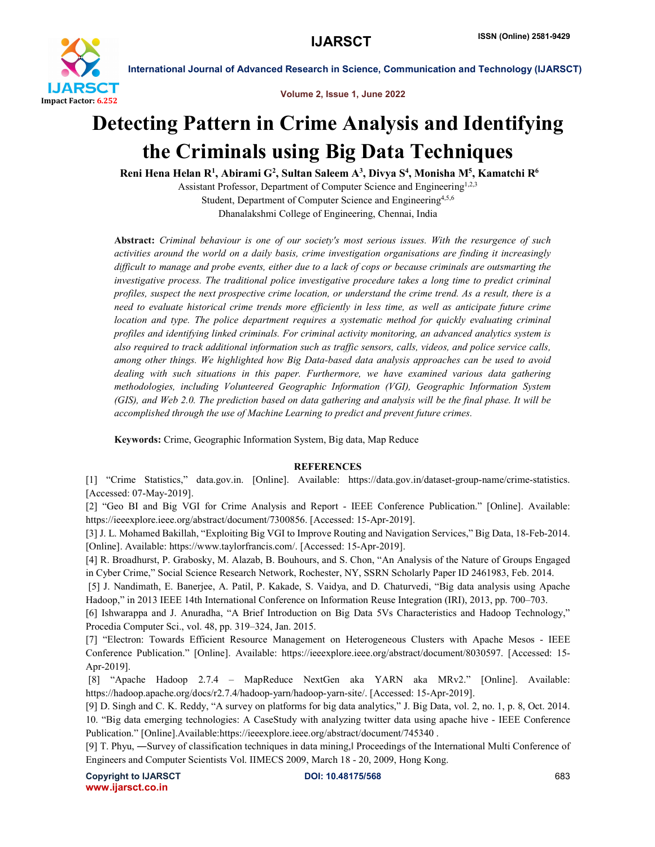

International Journal of Advanced Research in Science, Communication and Technology (IJARSCT)

Volume 2, Issue 1, June 2022

## Detecting Pattern in Crime Analysis and Identifying the Criminals using Big Data Techniques

Reni Hena Helan R<sup>1</sup>, Abirami G<sup>2</sup>, Sultan Saleem A<sup>3</sup>, Divya S<sup>4</sup>, Monisha M<sup>5</sup>, Kamatchi R<sup>6</sup>

Assistant Professor, Department of Computer Science and Engineering<sup>1,2,3</sup> Student, Department of Computer Science and Engineering<sup>4,5,6</sup> Dhanalakshmi College of Engineering, Chennai, India

Abstract: *Criminal behaviour is one of our society's most serious issues. With the resurgence of such activities around the world on a daily basis, crime investigation organisations are finding it increasingly difficult to manage and probe events, either due to a lack of cops or because criminals are outsmarting the investigative process. The traditional police investigative procedure takes a long time to predict criminal profiles, suspect the next prospective crime location, or understand the crime trend. As a result, there is a need to evaluate historical crime trends more efficiently in less time, as well as anticipate future crime location and type. The police department requires a systematic method for quickly evaluating criminal profiles and identifying linked criminals. For criminal activity monitoring, an advanced analytics system is also required to track additional information such as traffic sensors, calls, videos, and police service calls, among other things. We highlighted how Big Data-based data analysis approaches can be used to avoid dealing with such situations in this paper. Furthermore, we have examined various data gathering methodologies, including Volunteered Geographic Information (VGI), Geographic Information System (GIS), and Web 2.0. The prediction based on data gathering and analysis will be the final phase. It will be accomplished through the use of Machine Learning to predict and prevent future crimes.*

Keywords: Crime, Geographic Information System, Big data, Map Reduce

## **REFERENCES**

[1] "Crime Statistics," data.gov.in. [Online]. Available: https://data.gov.in/dataset-group-name/crime-statistics. [Accessed: 07-May-2019].

[2] "Geo BI and Big VGI for Crime Analysis and Report - IEEE Conference Publication." [Online]. Available: https://ieeexplore.ieee.org/abstract/document/7300856. [Accessed: 15-Apr-2019].

[3] J. L. Mohamed Bakillah, "Exploiting Big VGI to Improve Routing and Navigation Services," Big Data, 18-Feb-2014. [Online]. Available: https://www.taylorfrancis.com/. [Accessed: 15-Apr-2019].

[4] R. Broadhurst, P. Grabosky, M. Alazab, B. Bouhours, and S. Chon, "An Analysis of the Nature of Groups Engaged in Cyber Crime," Social Science Research Network, Rochester, NY, SSRN Scholarly Paper ID 2461983, Feb. 2014.

[5] J. Nandimath, E. Banerjee, A. Patil, P. Kakade, S. Vaidya, and D. Chaturvedi, "Big data analysis using Apache Hadoop," in 2013 IEEE 14th International Conference on Information Reuse Integration (IRI), 2013, pp. 700–703.

[6] Ishwarappa and J. Anuradha, "A Brief Introduction on Big Data 5Vs Characteristics and Hadoop Technology," Procedia Computer Sci., vol. 48, pp. 319–324, Jan. 2015.

[7] "Electron: Towards Efficient Resource Management on Heterogeneous Clusters with Apache Mesos - IEEE Conference Publication." [Online]. Available: https://ieeexplore.ieee.org/abstract/document/8030597. [Accessed: 15- Apr-2019].

[8] "Apache Hadoop 2.7.4 – MapReduce NextGen aka YARN aka MRv2." [Online]. Available: https://hadoop.apache.org/docs/r2.7.4/hadoop-yarn/hadoop-yarn-site/. [Accessed: 15-Apr-2019].

[9] D. Singh and C. K. Reddy, "A survey on platforms for big data analytics," J. Big Data, vol. 2, no. 1, p. 8, Oct. 2014. 10. "Big data emerging technologies: A CaseStudy with analyzing twitter data using apache hive - IEEE Conference Publication." [Online].Available:https://ieeexplore.ieee.org/abstract/document/745340 .

[9] T. Phyu, ―Survey of classification techniques in data mining,ǁ Proceedings of the International Multi Conference of Engineers and Computer Scientists Vol. IIMECS 2009, March 18 - 20, 2009, Hong Kong.